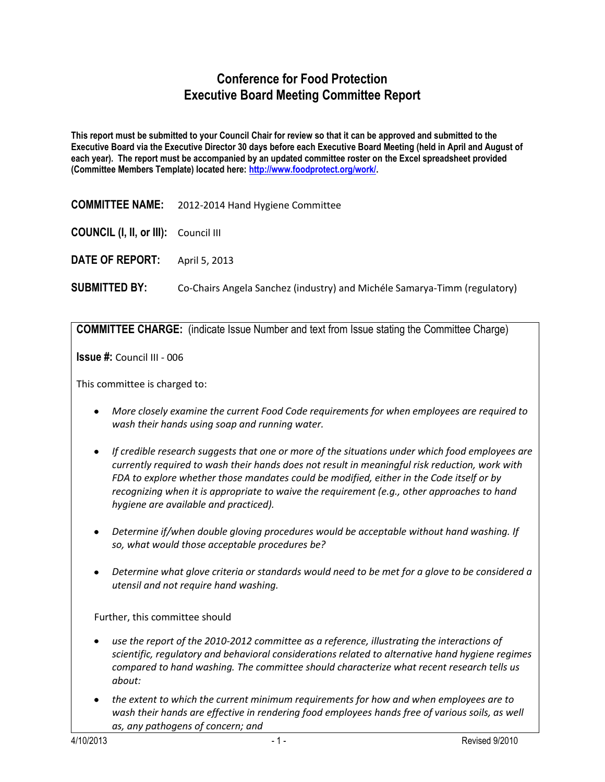## **Conference for Food Protection Executive Board Meeting Committee Report**

**This report must be submitted to your Council Chair for review so that it can be approved and submitted to the Executive Board via the Executive Director 30 days before each Executive Board Meeting (held in April and August of each year). The report must be accompanied by an updated committee roster on the Excel spreadsheet provided (Committee Members Template) located here: [http://www.foodprotect.org/work/.](http://www.foodprotect.org/work/)**

| <b>COMMITTEE NAME:</b> | 2012-2014 Hand Hygiene Committee |
|------------------------|----------------------------------|
|------------------------|----------------------------------|

**COUNCIL (I, II, or III):** Council III

**DATE OF REPORT:** April 5, 2013

**SUBMITTED BY:** Co-Chairs Angela Sanchez (industry) and Michéle Samarya-Timm (regulatory)

**COMMITTEE CHARGE:** (indicate Issue Number and text from Issue stating the Committee Charge)

**Issue #:** Council III - 006

This committee is charged to:

- *More closely examine the current Food Code requirements for when employees are required to wash their hands using soap and running water.*
- *If credible research suggests that one or more of the situations under which food employees are currently required to wash their hands does not result in meaningful risk reduction, work with FDA to explore whether those mandates could be modified, either in the Code itself or by recognizing when it is appropriate to waive the requirement (e.g., other approaches to hand hygiene are available and practiced).*
- *Determine if/when double gloving procedures would be acceptable without hand washing. If so, what would those acceptable procedures be?*
- *Determine what glove criteria or standards would need to be met for a glove to be considered a utensil and not require hand washing.*

Further, this committee should

- *use the report of the 2010-2012 committee as a reference, illustrating the interactions of scientific, regulatory and behavioral considerations related to alternative hand hygiene regimes compared to hand washing. The committee should characterize what recent research tells us about:*
- *the extent to which the current minimum requirements for how and when employees are to wash their hands are effective in rendering food employees hands free of various soils, as well as, any pathogens of concern; and*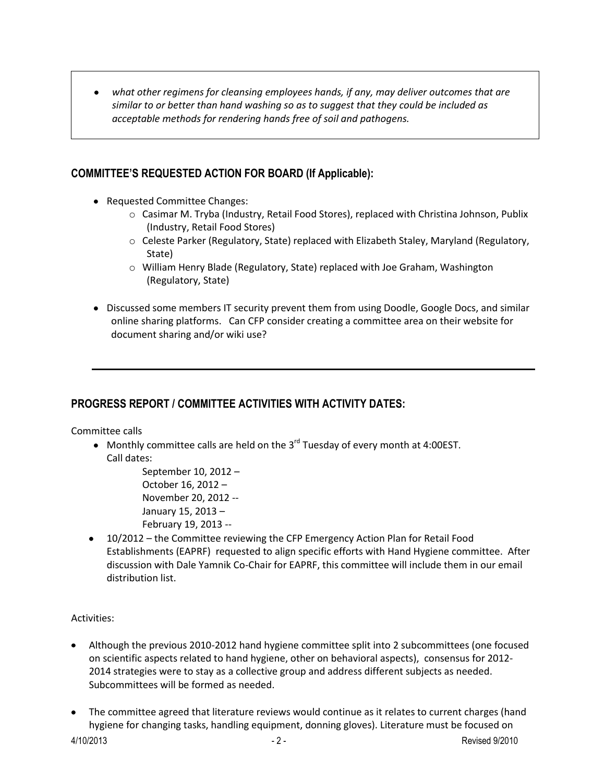*what other regimens for cleansing employees hands, if any, may deliver outcomes that are*   $\bullet$ *similar to or better than hand washing so as to suggest that they could be included as acceptable methods for rendering hands free of soil and pathogens.* 

## **COMMITTEE'S REQUESTED ACTION FOR BOARD (If Applicable):**

- Requested Committee Changes:
	- o Casimar M. Tryba (Industry, Retail Food Stores), replaced with Christina Johnson, Publix (Industry, Retail Food Stores)
	- o Celeste Parker (Regulatory, State) replaced with Elizabeth Staley, Maryland (Regulatory, State)
	- o William Henry Blade (Regulatory, State) replaced with Joe Graham, Washington (Regulatory, State)
- Discussed some members IT security prevent them from using Doodle, Google Docs, and similar online sharing platforms. Can CFP consider creating a committee area on their website for document sharing and/or wiki use?

## **PROGRESS REPORT / COMMITTEE ACTIVITIES WITH ACTIVITY DATES:**

Committee calls

Monthly committee calls are held on the 3<sup>rd</sup> Tuesday of every month at 4:00EST. Call dates:

> September 10, 2012 – October 16, 2012 – November 20, 2012 -- January 15, 2013 – February 19, 2013 --

10/2012 – the Committee reviewing the CFP Emergency Action Plan for Retail Food Establishments (EAPRF) requested to align specific efforts with Hand Hygiene committee. After discussion with Dale Yamnik Co-Chair for EAPRF, this committee will include them in our email distribution list.

## Activities:

- Although the previous 2010-2012 hand hygiene committee split into 2 subcommittees (one focused on scientific aspects related to hand hygiene, other on behavioral aspects), consensus for 2012- 2014 strategies were to stay as a collective group and address different subjects as needed. Subcommittees will be formed as needed.
- The committee agreed that literature reviews would continue as it relates to current charges (hand hygiene for changing tasks, handling equipment, donning gloves). Literature must be focused on